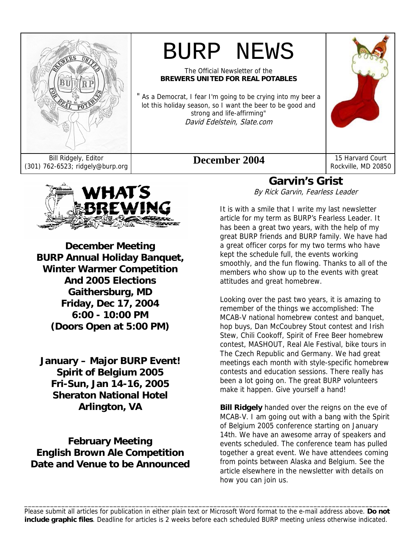

# BURP NEWS

The Official Newsletter of the **BREWERS UNITED FOR REAL POTABLES**

" As a Democrat, I fear I'm going to be crying into my beer a lot this holiday season, so I want the beer to be good and strong and life-affirming" David Edelstein, Slate.com



Rockville, MD 20850



**December Meeting BURP Annual Holiday Banquet, Winter Warmer Competition And 2005 Elections Gaithersburg, MD Friday, Dec 17, 2004 6:00 - 10:00 PM (Doors Open at 5:00 PM)** 

**January – Major BURP Event! Spirit of Belgium 2005 Fri-Sun, Jan 14-16, 2005 Sheraton National Hotel Arlington, VA** 

**February Meeting English Brown Ale Competition Date and Venue to be Announced** 

## **Garvin's Grist**

By Rick Garvin, Fearless Leader

It is with a smile that I write my last newsletter article for my term as BURP's Fearless Leader. It has been a great two years, with the help of my great BURP friends and BURP family. We have had a great officer corps for my two terms who have kept the schedule full, the events working smoothly, and the fun flowing. Thanks to all of the members who show up to the events with great attitudes and great homebrew.

Looking over the past two years, it is amazing to remember of the things we accomplished: The MCAB-V national homebrew contest and banquet, hop buys, Dan McCoubrey Stout contest and Irish Stew, Chili Cookoff, Spirit of Free Beer homebrew contest, MASHOUT, Real Ale Festival, bike tours in The Czech Republic and Germany. We had great meetings each month with style-specific homebrew contests and education sessions. There really has been a lot going on. The great BURP volunteers make it happen. Give yourself a hand!

**Bill Ridgely** handed over the reigns on the eve of MCAB-V. I am going out with a bang with the Spirit of Belgium 2005 conference starting on January 14th. We have an awesome array of speakers and events scheduled. The conference team has pulled together a great event. We have attendees coming from points between Alaska and Belgium. See the article elsewhere in the newsletter with details on how you can join us.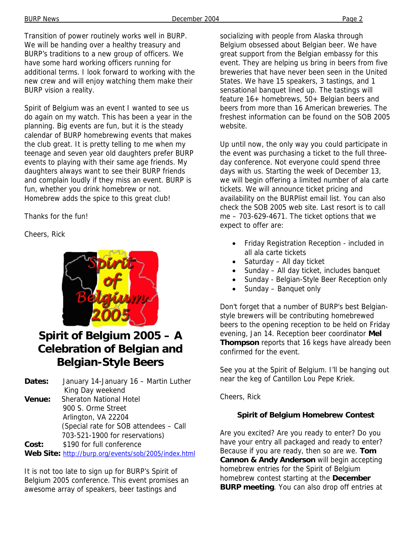Transition of power routinely works well in BURP. We will be handing over a healthy treasury and BURP's traditions to a new group of officers. We have some hard working officers running for additional terms. I look forward to working with the new crew and will enjoy watching them make their BURP vision a reality.

Spirit of Belgium was an event I wanted to see us do again on my watch. This has been a year in the planning. Big events are fun, but it is the steady calendar of BURP homebrewing events that makes the club great. It is pretty telling to me when my teenage and seven year old daughters prefer BURP events to playing with their same age friends. My daughters always want to see their BURP friends and complain loudly if they miss an event. BURP is fun, whether you drink homebrew or not. Homebrew adds the spice to this great club!

#### Thanks for the fun!

Cheers, Rick



## **Spirit of Belgium 2005 – A Celebration of Belgian and Belgian-Style Beers**

**Dates:** January 14-January 16 – Martin Luther King Day weekend **Venue:** Sheraton National Hotel 900 S. Orme Street Arlington, VA 22204 (Special rate for SOB attendees – Call 703-521-1900 for reservations) **Cost:** \$190 for full conference

**Web Site:** http://burp.org/events/sob/2005/index.html

It is not too late to sign up for BURP's Spirit of Belgium 2005 conference. This event promises an awesome array of speakers, beer tastings and

socializing with people from Alaska through Belgium obsessed about Belgian beer. We have great support from the Belgian embassy for this event. They are helping us bring in beers from five breweries that have never been seen in the United States. We have 15 speakers, 3 tastings, and 1 sensational banquet lined up. The tastings will feature 16+ homebrews, 50+ Belgian beers and beers from more than 16 American breweries. The freshest information can be found on the SOB 2005 website.

Up until now, the only way you could participate in the event was purchasing a ticket to the full threeday conference. Not everyone could spend three days with us. Starting the week of December 13, we will begin offering a limited number of ala carte tickets. We will announce ticket pricing and availability on the BURPlist email list. You can also check the SOB 2005 web site. Last resort is to call me – 703-629-4671. The ticket options that we expect to offer are:

- Friday Registration Reception included in all ala carte tickets
- Saturday All day ticket
- Sunday All day ticket, includes banquet
- Sunday Belgian-Style Beer Reception only
- Sunday Banquet only

Don't forget that a number of BURP's best Belgianstyle brewers will be contributing homebrewed beers to the opening reception to be held on Friday evening, Jan 14. Reception beer coordinator **Mel Thompson** reports that 16 kegs have already been confirmed for the event.

See you at the Spirit of Belgium. I'll be hanging out near the keg of Cantillon Lou Pepe Kriek.

Cheers, Rick

#### **Spirit of Belgium Homebrew Contest**

Are you excited? Are you ready to enter? Do you have your entry all packaged and ready to enter? Because if you are ready, then so are we. **Tom Cannon & Andy Anderson** will begin accepting homebrew entries for the Spirit of Belgium homebrew contest starting at the **December BURP meeting**. You can also drop off entries at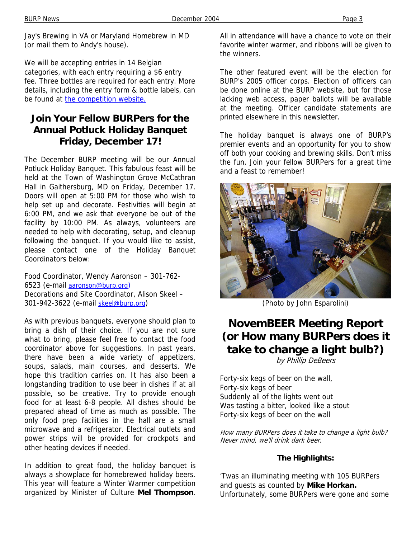Jay's Brewing in VA or Maryland Homebrew in MD (or mail them to Andy's house).

We will be accepting entries in 14 Belgian categories, with each entry requiring a \$6 entry fee. Three bottles are required for each entry. More details, including the entry form & bottle labels, can be found at the competition website.

## **Join Your Fellow BURPers for the Annual Potluck Holiday Banquet Friday, December 17!**

The December BURP meeting will be our Annual Potluck Holiday Banquet. This fabulous feast will be held at the Town of Washington Grove McCathran Hall in Gaithersburg, MD on Friday, December 17. Doors will open at 5:00 PM for those who wish to help set up and decorate. Festivities will begin at 6:00 PM, and we ask that everyone be out of the facility by 10:00 PM. As always, volunteers are needed to help with decorating, setup, and cleanup following the banquet. If you would like to assist, please contact one of the Holiday Banquet Coordinators below:

Food Coordinator, Wendy Aaronson – 301-762- 6523 (e-mail aaronson@burp.org) Decorations and Site Coordinator, Alison Skeel – 301-942-3622 (e-mail skeel@burp.org)

As with previous banquets, everyone should plan to bring a dish of their choice. If you are not sure what to bring, please feel free to contact the food coordinator above for suggestions. In past years, there have been a wide variety of appetizers, soups, salads, main courses, and desserts. We hope this tradition carries on. It has also been a longstanding tradition to use beer in dishes if at all possible, so be creative. Try to provide enough food for at least 6-8 people. All dishes should be prepared ahead of time as much as possible. The only food prep facilities in the hall are a small microwave and a refrigerator. Electrical outlets and power strips will be provided for crockpots and other heating devices if needed.

In addition to great food, the holiday banquet is always a showplace for homebrewed holiday beers. This year will feature a Winter Warmer competition organized by Minister of Culture **Mel Thompson**.

All in attendance will have a chance to vote on their favorite winter warmer, and ribbons will be given to the winners.

The other featured event will be the election for BURP's 2005 officer corps. Election of officers can be done online at the BURP website, but for those lacking web access, paper ballots will be available at the meeting. Officer candidate statements are printed elsewhere in this newsletter.

The holiday banquet is always one of BURP's premier events and an opportunity for you to show off both your cooking and brewing skills. Don't miss the fun. Join your fellow BURPers for a great time and a feast to remember!



(Photo by John Esparolini)

## **NovemBEER Meeting Report (or How many BURPers does it take to change a light bulb?)**

by Phillip DeBeers

Forty-six kegs of beer on the wall, Forty-six kegs of beer Suddenly all of the lights went out Was tasting a bitter, looked like a stout Forty-six kegs of beer on the wall

How many BURPers does it take to change a light bulb? Never mind, we'll drink dark beer.

#### **The Highlights:**

'Twas an illuminating meeting with 105 BURPers and guests as counted by **Mike Horkan.** Unfortunately, some BURPers were gone and some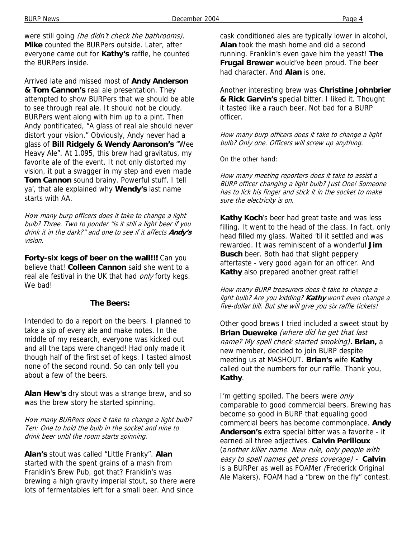were still going (he didn't check the bathrooms). **Mike** counted the BURPers outside. Later, after everyone came out for **Kathy's** raffle, he counted the BURPers inside.

Arrived late and missed most of **Andy Anderson & Tom Cannon's** real ale presentation. They attempted to show BURPers that we should be able to see through real ale. It should not be cloudy. BURPers went along with him up to a pint. Then Andy pontificated, "A glass of real ale should never distort your vision." Obviously, Andy never had a glass of **Bill Ridgely & Wendy Aaronson's** "Wee Heavy Ale". At 1.095, this brew had gravitatus, my favorite ale of the event. It not only distorted my vision, it put a swagger in my step and even made **Tom Cannon** sound brainy. Powerful stuff. I tell ya', that ale explained why **Wendy's** last name starts with AA.

How many burp officers does it take to change a light bulb? Three. Two to ponder "is it still a light beer if you drink it in the dark?" and one to see if it affects **Andy's** vision.

**Forty-six kegs of beer on the wall!!!** Can you believe that! **Colleen Cannon** said she went to a real ale festival in the UK that had only forty kegs. We bad!

#### **The Beers:**

Intended to do a report on the beers. I planned to take a sip of every ale and make notes. In the middle of my research, everyone was kicked out and all the taps were changed! Had only made it though half of the first set of kegs. I tasted almost none of the second round. So can only tell you about a few of the beers.

**Alan Hew's** dry stout was a strange brew, and so was the brew story he started spinning.

How many BURPers does it take to change a light bulb? Ten: One to hold the bulb in the socket and nine to drink beer until the room starts spinning.

**Alan's** stout was called "Little Franky". **Alan** started with the spent grains of a mash from Franklin's Brew Pub, got that? Franklin's was brewing a high gravity imperial stout, so there were lots of fermentables left for a small beer. And since

cask conditioned ales are typically lower in alcohol, **Alan** took the mash home and did a second running. Franklin's even gave him the yeast! **The Frugal Brewer** would've been proud. The beer had character. And **Alan** is one.

Another interesting brew was **Christine Johnbrier & Rick Garvin's** special bitter. I liked it. Thought it tasted like a rauch beer. Not bad for a BURP officer.

How many burp officers does it take to change a light bulb? Only one. Officers will screw up anything.

On the other hand:

How many meeting reporters does it take to assist a BURP officer changing a light bulb? Just One! Someone has to lick his finger and stick it in the socket to make sure the electricity is on.

**Kathy Koch**'s beer had great taste and was less filling. It went to the head of the class. In fact, only head filled my glass. Waited 'til it settled and was rewarded. It was reminiscent of a wonderful **Jim Busch** beer. Both had that slight peppery aftertaste - very good again for an officer. And **Kathy** also prepared another great raffle!

How many BURP treasurers does it take to change a light bulb? Are you kidding? **Kathy** won't even change a five-dollar bill. But she will give you six raffle tickets!

Other good brews I tried included a sweet stout by **Brian Dueweke** (where did he get that last name? My spell check started smoking)**. Brian,** a new member, decided to join BURP despite meeting us at MASHOUT. **Brian's** wife **Kathy** called out the numbers for our raffle. Thank you, **Kathy**.

I'm getting spoiled. The beers were only comparable to good commercial beers. Brewing has become so good in BURP that equaling good commercial beers has become commonplace. **Andy Anderson's** extra special bitter was a favorite - it earned all three adjectives. **Calvin Perilloux**  (another killer name. New rule, only people with easy to spell names get press coverage) - **Calvin** is a BURPer as well as FOAMer (Frederick Original Ale Makers). FOAM had a "brew on the fly" contest.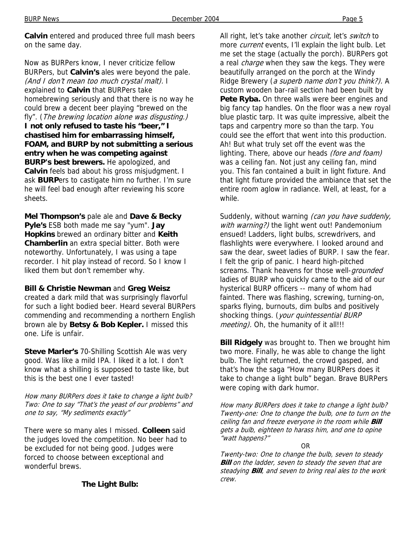**Calvin** entered and produced three full mash beers on the same day.

Now as BURPers know, I never criticize fellow BURPers, but **Calvin's** ales were beyond the pale. (And I don't mean too much crystal malt). I explained to **Calvin** that BURPers take homebrewing seriously and that there is no way he could brew a decent beer playing "brewed on the fly". (The brewing location alone was disgusting.) **I not only refused to taste his "beer," I chastised him for embarrassing himself, FOAM, and BURP by not submitting a serious entry when he was competing against BURP's best brewers.** He apologized, and **Calvin** feels bad about his gross misjudgment. I ask **BURP**ers to castigate him no further. I'm sure he will feel bad enough after reviewing his score sheets.

**Mel Thompson's** pale ale and **Dave & Becky Pyle's** ESB both made me say "yum". **Jay Hopkins** brewed an ordinary bitter and **Keith Chamberlin** an extra special bitter. Both were noteworthy. Unfortunately, I was using a tape recorder. I hit play instead of record. So I know I liked them but don't remember why.

#### **Bill & Christie Newman** and **Greg Weisz**

created a dark mild that was surprisingly flavorful for such a light bodied beer. Heard several BURPers commending and recommending a northern English brown ale by **Betsy & Bob Kepler.** I missed this one. Life is unfair.

**Steve Marler's** 70-Shilling Scottish Ale was very good. Was like a mild IPA. I liked it a lot. I don't know what a shilling is supposed to taste like, but this is the best one I ever tasted!

How many BURPers does it take to change a light bulb? Two: One to say "That's the yeast of our problems" and one to say, "My sediments exactly"

There were so many ales I missed. **Colleen** said the judges loved the competition. No beer had to be excluded for not being good. Judges were forced to choose between exceptional and wonderful brews.

#### **The Light Bulb:**

All right, let's take another circuit, let's switch to more *current* events, I'll explain the light bulb. Let me set the stage (actually the porch). BURPers got a real *charge* when they saw the kegs. They were beautifully arranged on the porch at the Windy Ridge Brewery (a superb name don't you think?). A custom wooden bar-rail section had been built by **Pete Ryba.** On three walls were beer engines and big fancy tap handles. On the floor was a new royal blue plastic tarp. It was quite impressive, albeit the taps and carpentry more so than the tarp. You could see the effort that went into this production. Ah! But what truly set off the event was the lighting. There, above our heads (fore and foam) was a ceiling fan. Not just any ceiling fan, mind you. This fan contained a built in light fixture. And that light fixture provided the ambiance that set the entire room aglow in radiance. Well, at least, for a while.

Suddenly, without warning (can you have suddenly, with warning?) the light went out! Pandemonium ensued! Ladders, light bulbs, screwdrivers, and flashlights were everywhere. I looked around and saw the dear, sweet ladies of BURP. I saw the fear. I felt the grip of panic. I heard high-pitched screams. Thank heavens for those well-grounded ladies of BURP who quickly came to the aid of our hysterical BURP officers -- many of whom had fainted. There was flashing, screwing, turning-on, sparks flying, burnouts, dim bulbs and positively shocking things. (your quintessential BURP meeting). Oh, the humanity of it all!!!

**Bill Ridgely** was brought to. Then we brought him two more. Finally, he was able to change the light bulb. The light returned, the crowd gasped, and that's how the saga "How many BURPers does it take to change a light bulb" began. Brave BURPers were coping with dark humor.

How many BURPers does it take to change a light bulb? Twenty-one: One to change the bulb, one to turn on the ceiling fan and freeze everyone in the room while **Bill**  gets a bulb, eighteen to harass him, and one to opine "watt happens?"

#### OR

Twenty-two: One to change the bulb, seven to steady **Bill** on the ladder, seven to steady the seven that are steadying **Bill**, and seven to bring real ales to the work crew.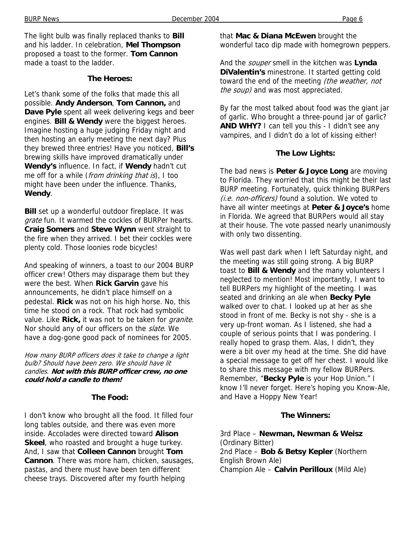The light bulb was finally replaced thanks to **Bill** and his ladder. In celebration, **Mel Thompson** proposed a toast to the former. **Tom Cannon** made a toast to the ladder.

#### **The Heroes:**

Let's thank some of the folks that made this all possible. **Andy Anderson**, **Tom Cannon,** and **Dave Pyle** spent all week delivering kegs and beer engines. **Bill & Wendy** were the biggest heroes. Imagine hosting a huge judging Friday night and then hosting an early meeting the next day? Plus they brewed three entries! Have you noticed, **Bill's** brewing skills have improved dramatically under **Wendy's** influence. In fact, if **Wendy** hadn't cut me off for a while (from drinking that is), I too might have been under the influence. Thanks, **Wendy**.

**Bill** set up a wonderful outdoor fireplace. It was grate fun. It warmed the cockles of BURPer hearts. **Craig Somers** and **Steve Wynn** went straight to the fire when they arrived. I bet their cockles were plenty cold. Those loonies rode bicycles!

And speaking of winners, a toast to our 2004 BURP officer crew! Others may disparage them but they were the best. When **Rick Garvin** gave his announcements, he didn't place himself on a pedestal. **Rick** was not on his high horse. No, this time he stood on a rock. That rock had symbolic value. Like **Rick,** it was not to be taken for granite. Nor should any of our officers on the slate. We have a dog-gone good pack of nominees for 2005.

How many BURP officers does it take to change a light bulb? Should have been zero. We should have lit candles. **Not with this BURP officer crew, no one could hold a candle to them!** 

#### **The Food:**

I don't know who brought all the food. It filled four long tables outside, and there was even more inside. Accolades were directed toward **Alison Skeel**, who roasted and brought a huge turkey. And, I saw that **Colleen Cannon** brought **Tom Cannon**. There was more ham, chicken, sausages, pastas, and there must have been ten different cheese trays. Discovered after my fourth helping

that **Mac & Diana McEwen** brought the wonderful taco dip made with homegrown peppers.

And the souper smell in the kitchen was **Lynda DiValentin's** minestrone. It started getting cold toward the end of the meeting (the weather, not the soup) and was most appreciated.

By far the most talked about food was the giant jar of garlic. Who brought a three-pound jar of garlic? **AND WHY?** I can tell you this - I didn't see any vampires, and I didn't do a lot of kissing either!

#### **The Low Lights:**

The bad news is **Peter & Joyce Long** are moving to Florida. They worried that this might be their last BURP meeting. Fortunately, quick thinking BURPers (i.e. non-officers) found a solution. We voted to have all winter meetings at **Peter & Joyce's** home in Florida. We agreed that BURPers would all stay at their house. The vote passed nearly unanimously with only two dissenting.

Was well past dark when I left Saturday night, and the meeting was still going strong. A big BURP toast to **Bill & Wendy** and the many volunteers I neglected to mention! Most importantly, I want to tell BURPers my highlight of the meeting. I was seated and drinking an ale when **Becky Pyle** walked over to chat. I looked up at her as she stood in front of me. Becky is not shy - she is a very up-front woman. As I listened, she had a couple of serious points that I was pondering. I really hoped to grasp them. Alas, I didn't, they were a bit over my head at the time. She did have a special message to get off her chest. I would like to share this message with my fellow BURPers. Remember, "**Becky Pyle** is your Hop Union." I know I'll never forget. Here's hoping you Know-Ale, and Have a Hoppy New Year!

#### **The Winners:**

3rd Place – **Newman, Newman & Weisz** (Ordinary Bitter) 2nd Place – **Bob & Betsy Kepler** (Northern English Brown Ale) Champion Ale – **Calvin Perilloux** (Mild Ale)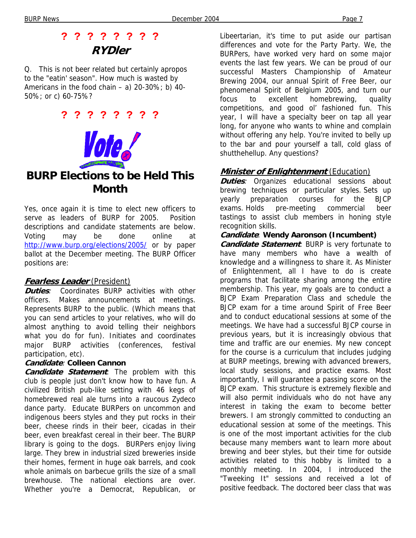## **? ? ? ? ? ? ? ? RYDler**

Q. This is not beer related but certainly apropos to the "eatin' season". How much is wasted by Americans in the food chain – a)  $20-30\%$ ; b)  $40-$ 50%; or c) 60-75%?

**? ? ? ? ? ? ? ?** 



## **BURP Elections to be Held This Month**

Yes, once again it is time to elect new officers to serve as leaders of BURP for 2005. Position descriptions and candidate statements are below. Voting may be done online at http://www.burp.org/elections/2005/ or by paper ballot at the December meeting. The BURP Officer positions are:

#### **Fearless Leader** (President)

**Duties**: Coordinates BURP activities with other officers. Makes announcements at meetings. Represents BURP to the public. (Which means that you can send articles to your relatives, who will do almost anything to avoid telling their neighbors what you do for fun). Initiates and coordinates major BURP activities (conferences, festival participation, etc).

#### **Candidate**: **Colleen Cannon**

**Candidate Statement**: The problem with this club is people just don't know how to have fun. A civilized British pub-like setting with 46 kegs of homebrewed real ale turns into a raucous Zydeco dance party. Educate BURPers on uncommon and indigenous beers styles and they put rocks in their beer, cheese rinds in their beer, cicadas in their beer, even breakfast cereal in their beer. The BURP library is going to the dogs. BURPers enjoy living large. They brew in industrial sized breweries inside their homes, ferment in huge oak barrels, and cook whole animals on barbecue grills the size of a small brewhouse. The national elections are over. Whether you're a Democrat, Republican, or

Libeertarian, it's time to put aside our partisan differences and vote for the Party Party. We, the BURPers, have worked very hard on some major events the last few years. We can be proud of our successful Masters Championship of Amateur Brewing 2004, our annual Spirit of Free Beer, our phenomenal Spirit of Belgium 2005, and turn our focus to excellent homebrewing, quality competitions, and good ol' fashioned fun. This year, I will have a specialty beer on tap all year long, for anyone who wants to whine and complain without offering any help. You're invited to belly up to the bar and pour yourself a tall, cold glass of shutthehellup. Any questions?

#### **Minister of Enlightenment** (Education)

**Duties**: Organizes educational sessions about brewing techniques or particular styles. Sets up yearly preparation courses for the BJCP exams. Holds pre-meeting commercial beer tastings to assist club members in honing style recognition skills.

#### **Candidate**: **Wendy Aaronson (Incumbent)**

**Candidate Statement**: BURP is very fortunate to have many members who have a wealth of knowledge and a willingness to share it. As Minister of Enlightenment, all I have to do is create programs that facilitate sharing among the entire membership. This year, my goals are to conduct a BJCP Exam Preparation Class and schedule the BJCP exam for a time around Spirit of Free Beer and to conduct educational sessions at some of the meetings. We have had a successful BJCP course in previous years, but it is increasingly obvious that time and traffic are our enemies. My new concept for the course is a curriculum that includes judging at BURP meetings, brewing with advanced brewers, local study sessions, and practice exams. Most importantly, I will guarantee a passing score on the BJCP exam. This structure is extremely flexible and will also permit individuals who do not have any interest in taking the exam to become better brewers. I am strongly committed to conducting an educational session at some of the meetings. This is one of the most important activities for the club because many members want to learn more about brewing and beer styles, but their time for outside activities related to this hobby is limited to a monthly meeting. In 2004, I introduced the "Tweeking It" sessions and received a lot of positive feedback. The doctored beer class that was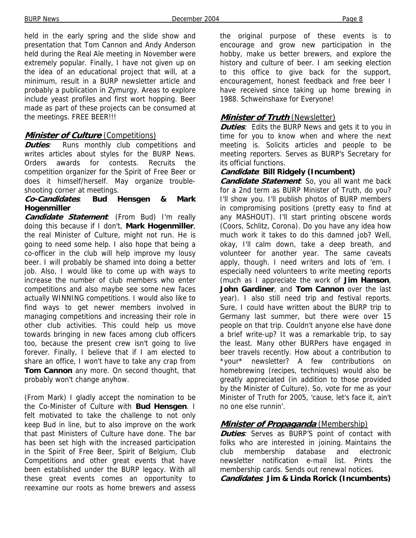held in the early spring and the slide show and presentation that Tom Cannon and Andy Anderson held during the Real Ale meeting in November were extremely popular. Finally, I have not given up on the idea of an educational project that will, at a minimum, result in a BURP newsletter article and probably a publication in Zymurgy. Areas to explore include yeast profiles and first wort hopping. Beer made as part of these projects can be consumed at the meetings. FREE BEER!!!

#### **Minister of Culture** (Competitions)

**Duties**: Runs monthly club competitions and writes articles about styles for the BURP News. Orders awards for contests. Recruits the competition organizer for the Spirit of Free Beer or does it himself/herself. May organize troubleshooting corner at meetings.

#### **Co-Candidates**: **Bud Hensgen & Mark Hogenmiller**

**Candidate Statement**: (From Bud) I'm really doing this because if I don't, **Mark Hogenmiller**, the real Minister of Culture, might not run. He is going to need some help. I also hope that being a co-officer in the club will help improve my lousy beer. I will probably be shamed into doing a better job. Also, I would like to come up with ways to increase the number of club members who enter competitions and also maybe see some new faces actually WINNING competitions. I would also like to find ways to get newer members involved in managing competitions and increasing their role in other club activities. This could help us move towards bringing in new faces among club officers too, because the present crew isn't going to live forever. Finally, I believe that if I am elected to share an office, I won't have to take any crap from **Tom Cannon** any more. On second thought, that probably won't change anyhow.

(From Mark) I gladly accept the nomination to be the Co-Minister of Culture with **Bud Hensgen**. I felt motivated to take the challenge to not only keep Bud in line, but to also improve on the work that past Ministers of Culture have done. The bar has been set high with the increased participation in the Spirit of Free Beer, Spirit of Belgium, Club Competitions and other great events that have been established under the BURP legacy. With all these great events comes an opportunity to reexamine our roots as home brewers and assess

the original purpose of these events is to encourage and grow new participation in the hobby, make us better brewers, and explore the history and culture of beer. I am seeking election to this office to give back for the support, encouragement, honest feedback and free beer I have received since taking up home brewing in 1988. Schweinshaxe for Everyone!

#### **Minister of Truth** (Newsletter)

**Duties**: Edits the BURP News and gets it to you in time for you to know when and where the next meeting is. Solicits articles and people to be meeting reporters. Serves as BURP's Secretary for its official functions.

#### **Candidate**: **Bill Ridgely (Incumbent)**

**Candidate Statement**: So, you all want me back for a 2nd term as BURP Minister of Truth, do you? I'll show you. I'll publish photos of BURP members in compromising positions (pretty easy to find at any MASHOUT). I'll start printing obscene words (Coors, Schlitz, Corona). Do you have any idea how much work it takes to do this damned job? Well, okay, I'll calm down, take a deep breath, and volunteer for another year. The same caveats apply, though. I need writers and lots of 'em. I especially need volunteers to write meeting reports (much as I appreciate the work of **Jim Hanson**, **John Gardiner**, and **Tom Cannon** over the last year). I also still need trip and festival reports. Sure, I could have written about the BURP trip to Germany last summer, but there were over 15 people on that trip. Couldn't anyone else have done a brief write-up? It was a remarkable trip, to say the least. Many other BURPers have engaged in beer travels recently. How about a contribution to \*your\* newsletter? A few contributions on homebrewing (recipes, techniques) would also be greatly appreciated (in addition to those provided by the Minister of Culture). So, vote for me as your Minister of Truth for 2005, 'cause, let's face it, ain't no one else runnin'.

#### **Minister of Propaganda** (Membership)

**Duties**: Serves as BURP'S point of contact with folks who are interested in joining. Maintains the club membership database and electronic newsletter notification e-mail list. Prints the membership cards. Sends out renewal notices. **Candidates**: **Jim & Linda Rorick (Incumbents)**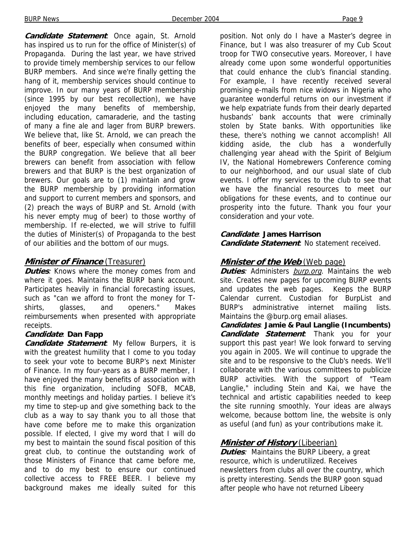**Candidate Statement**: Once again, St. Arnold has inspired us to run for the office of Minister(s) of Propaganda. During the last year, we have strived to provide timely membership services to our fellow BURP members. And since we're finally getting the hang of it, membership services should continue to improve. In our many years of BURP membership (since 1995 by our best recollection), we have enjoyed the many benefits of membership, including education, camaraderie, and the tasting of many a fine ale and lager from BURP brewers. We believe that, like St. Arnold, we can preach the benefits of beer, especially when consumed within the BURP congregation. We believe that all beer brewers can benefit from association with fellow brewers and that BURP is the best organization of brewers. Our goals are to (1) maintain and grow the BURP membership by providing information and support to current members and sponsors, and (2) preach the ways of BURP and St. Arnold (with his never empty mug of beer) to those worthy of membership. If re-elected, we will strive to fulfill the duties of Minister(s) of Propaganda to the best of our abilities and the bottom of our mugs.

#### **Minister of Finance** (Treasurer)

**Duties**: Knows where the money comes from and where it goes. Maintains the BURP bank account. Participates heavily in financial forecasting issues, such as "can we afford to front the money for Tshirts, glasses, and openers." Makes reimbursements when presented with appropriate receipts.

#### **Candidate**: **Dan Fapp**

**Candidate Statement**: My fellow Burpers, it is with the greatest humility that I come to you today to seek your vote to become BURP's next Minister of Finance. In my four-years as a BURP member, I have enjoyed the many benefits of association with this fine organization, including SOFB, MCAB, monthly meetings and holiday parties. I believe it's my time to step-up and give something back to the club as a way to say thank you to all those that have come before me to make this organization possible. If elected, I give my word that I will do my best to maintain the sound fiscal position of this great club, to continue the outstanding work of those Ministers of Finance that came before me, and to do my best to ensure our continued collective access to FREE BEER. I believe my background makes me ideally suited for this

position. Not only do I have a Master's degree in Finance, but I was also treasurer of my Cub Scout troop for TWO consecutive years. Moreover, I have already come upon some wonderful opportunities that could enhance the club's financial standing. For example, I have recently received several promising e-mails from nice widows in Nigeria who guarantee wonderful returns on our investment if we help expatriate funds from their dearly departed husbands' bank accounts that were criminally stolen by State banks. With opportunities like these, there's nothing we cannot accomplish! All kidding aside, the club has a wonderfully challenging year ahead with the Spirit of Belgium IV, the National Homebrewers Conference coming to our neighborhood, and our usual slate of club events. I offer my services to the club to see that we have the financial resources to meet our obligations for these events, and to continue our prosperity into the future. Thank you four your consideration and your vote.

#### **Candidate**: **James Harrison**

**Candidate Statement**: No statement received.

#### **Minister of the Web** (Web page)

**Duties**: Administers **burp.org**. Maintains the web site. Creates new pages for upcoming BURP events and updates the web pages. Keeps the BURP Calendar current. Custodian for BurpList and BURP's administrative internet mailing lists. Maintains the @burp.org email aliases.

**Candidates**: **Jamie & Paul Langlie (Incumbents) Candidate Statement**: Thank you for your support this past year! We look forward to serving you again in 2005. We will continue to upgrade the site and to be responsive to the Club's needs. We'll collaborate with the various committees to publicize BURP activities. With the support of "Team Langlie," including Stein and Kai, we have the technical and artistic capabilities needed to keep the site running smoothly. Your ideas are always welcome, because bottom line, the website is only as useful (and fun) as your contributions make it.

#### **Minister of History** (Libeerian)

**Duties:** Maintains the BURP Libeery, a great resource, which is underutilized. Receives newsletters from clubs all over the country, which is pretty interesting. Sends the BURP goon squad after people who have not returned Libeery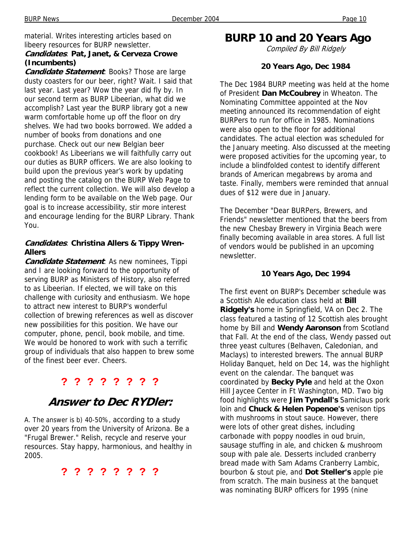material. Writes interesting articles based on libeery resources for BURP newsletter.

#### **Candidates**: **Pat, Janet, & Cerveza Crowe (Incumbents)**

**Candidate Statement**: Books? Those are large dusty coasters for our beer, right? Wait. I said that last year. Last year? Wow the year did fly by. In our second term as BURP Libeerian, what did we accomplish? Last year the BURP library got a new warm comfortable home up off the floor on dry shelves. We had two books borrowed. We added a number of books from donations and one purchase. Check out our new Belgian beer cookbook! As Libeerians we will faithfully carry out our duties as BURP officers. We are also looking to build upon the previous year's work by updating and posting the catalog on the BURP Web Page to reflect the current collection. We will also develop a lending form to be available on the Web page. Our goal is to increase accessibility, stir more interest and encourage lending for the BURP Library. Thank You.

#### **Candidates**: **Christina Allers & Tippy Wren-Allers**

**Candidate Statement**: As new nominees, Tippi and I are looking forward to the opportunity of serving BURP as Ministers of History, also referred to as Libeerian. If elected, we will take on this challenge with curiosity and enthusiasm. We hope to attract new interest to BURP's wonderful collection of brewing references as well as discover new possibilities for this position. We have our computer, phone, pencil, book mobile, and time. We would be honored to work with such a terrific group of individuals that also happen to brew some of the finest beer ever. Cheers.

### **? ? ? ? ? ? ? ?**

## **Answer to Dec RYDler:**

A. The answer is b) 40-50%, according to a study over 20 years from the University of Arizona. Be a "Frugal Brewer." Relish, recycle and reserve your resources. Stay happy, harmonious, and healthy in 2005.

**? ? ? ? ? ? ? ?** 

**BURP 10 and 20 Years Ago** 

Compiled By Bill Ridgely

#### **20 Years Ago, Dec 1984**

The Dec 1984 BURP meeting was held at the home of President **Dan McCoubrey** in Wheaton. The Nominating Committee appointed at the Nov meeting announced its recommendation of eight BURPers to run for office in 1985. Nominations were also open to the floor for additional candidates. The actual election was scheduled for the January meeting. Also discussed at the meeting were proposed activities for the upcoming year, to include a blindfolded contest to identify different brands of American megabrews by aroma and taste. Finally, members were reminded that annual dues of \$12 were due in January.

The December "Dear BURPers, Brewers, and Friends" newsletter mentioned that the beers from the new Chesbay Brewery in Virginia Beach were finally becoming available in area stores. A full list of vendors would be published in an upcoming newsletter.

#### **10 Years Ago, Dec 1994**

The first event on BURP's December schedule was a Scottish Ale education class held at **Bill Ridgely's** home in Springfield, VA on Dec 2. The class featured a tasting of 12 Scottish ales brought home by Bill and **Wendy Aaronson** from Scotland that Fall. At the end of the class, Wendy passed out three yeast cultures (Belhaven, Caledonian, and Maclays) to interested brewers. The annual BURP Holiday Banquet, held on Dec 14, was the highlight event on the calendar. The banquet was coordinated by **Becky Pyle** and held at the Oxon Hill Jaycee Center in Ft Washington, MD. Two big food highlights were **Jim Tyndall's** Samiclaus pork loin and **Chuck & Helen Popenoe's** venison tips with mushrooms in stout sauce. However, there were lots of other great dishes, including carbonade with poppy noodles in oud bruin, sausage stuffing in ale, and chicken & mushroom soup with pale ale. Desserts included cranberry bread made with Sam Adams Cranberry Lambic, bourbon & stout pie, and **Dot Steller's** apple pie from scratch. The main business at the banquet was nominating BURP officers for 1995 (nine